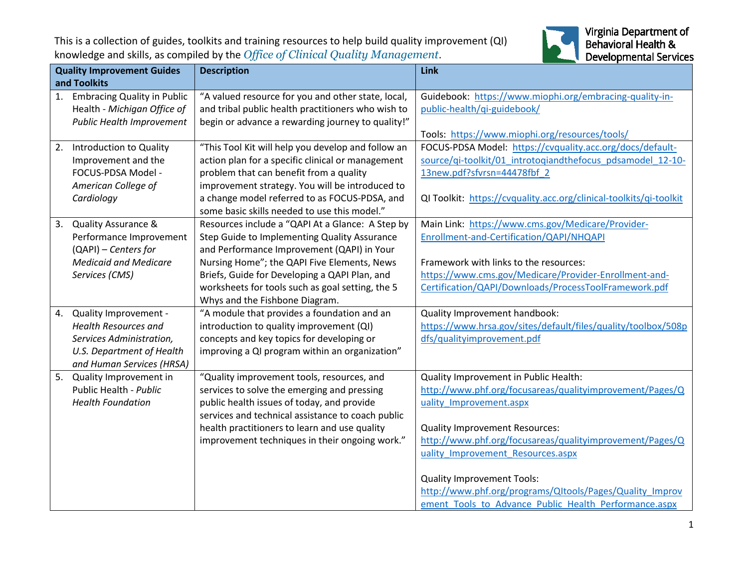This is a collection of guides, toolkits and training resources to help build quality improvement (QI) knowledge and skills, as compiled by the *Office of Clinical Quality Management*.



| <b>Quality Improvement Guides</b> |                                    | <b>Description</b>                                 | Link                                                               |
|-----------------------------------|------------------------------------|----------------------------------------------------|--------------------------------------------------------------------|
| and Toolkits                      |                                    |                                                    |                                                                    |
| 1.                                | <b>Embracing Quality in Public</b> | "A valued resource for you and other state, local, | Guidebook: https://www.miophi.org/embracing-quality-in-            |
|                                   | Health - Michigan Office of        | and tribal public health practitioners who wish to | public-health/qi-guidebook/                                        |
|                                   | <b>Public Health Improvement</b>   | begin or advance a rewarding journey to quality!"  |                                                                    |
|                                   |                                    |                                                    | Tools: https://www.miophi.org/resources/tools/                     |
| 2.                                | Introduction to Quality            | "This Tool Kit will help you develop and follow an | FOCUS-PDSA Model: https://cvquality.acc.org/docs/default-          |
|                                   | Improvement and the                | action plan for a specific clinical or management  | source/qi-toolkit/01_introtoqiandthefocus_pdsamodel_12-10-         |
|                                   | FOCUS-PDSA Model -                 | problem that can benefit from a quality            | 13new.pdf?sfvrsn=44478fbf 2                                        |
|                                   | American College of                | improvement strategy. You will be introduced to    |                                                                    |
|                                   | Cardiology                         | a change model referred to as FOCUS-PDSA, and      | QI Toolkit: https://cvquality.acc.org/clinical-toolkits/qi-toolkit |
|                                   |                                    | some basic skills needed to use this model."       |                                                                    |
| 3.                                | <b>Quality Assurance &amp;</b>     | Resources include a "QAPI At a Glance: A Step by   | Main Link: https://www.cms.gov/Medicare/Provider-                  |
|                                   | Performance Improvement            | Step Guide to Implementing Quality Assurance       | Enrollment-and-Certification/QAPI/NHQAPI                           |
|                                   | (QAPI) - Centers for               | and Performance Improvement (QAPI) in Your         |                                                                    |
|                                   | <b>Medicaid and Medicare</b>       | Nursing Home"; the QAPI Five Elements, News        | Framework with links to the resources:                             |
|                                   | Services (CMS)                     | Briefs, Guide for Developing a QAPI Plan, and      | https://www.cms.gov/Medicare/Provider-Enrollment-and-              |
|                                   |                                    | worksheets for tools such as goal setting, the 5   | Certification/QAPI/Downloads/ProcessToolFramework.pdf              |
|                                   |                                    | Whys and the Fishbone Diagram.                     |                                                                    |
| 4.                                | Quality Improvement -              | "A module that provides a foundation and an        | Quality Improvement handbook:                                      |
|                                   | <b>Health Resources and</b>        | introduction to quality improvement (QI)           | https://www.hrsa.gov/sites/default/files/quality/toolbox/508p      |
|                                   | Services Administration,           | concepts and key topics for developing or          | dfs/qualityimprovement.pdf                                         |
|                                   | U.S. Department of Health          | improving a QI program within an organization"     |                                                                    |
|                                   | and Human Services (HRSA)          |                                                    |                                                                    |
| 5.                                | Quality Improvement in             | "Quality improvement tools, resources, and         | Quality Improvement in Public Health:                              |
|                                   | Public Health - Public             | services to solve the emerging and pressing        | http://www.phf.org/focusareas/qualityimprovement/Pages/Q           |
|                                   | <b>Health Foundation</b>           | public health issues of today, and provide         | uality Improvement.aspx                                            |
|                                   |                                    | services and technical assistance to coach public  |                                                                    |
|                                   |                                    | health practitioners to learn and use quality      | <b>Quality Improvement Resources:</b>                              |
|                                   |                                    | improvement techniques in their ongoing work."     | http://www.phf.org/focusareas/qualityimprovement/Pages/Q           |
|                                   |                                    |                                                    | uality Improvement Resources.aspx                                  |
|                                   |                                    |                                                    |                                                                    |
|                                   |                                    |                                                    | <b>Quality Improvement Tools:</b>                                  |
|                                   |                                    |                                                    | http://www.phf.org/programs/QItools/Pages/Quality_Improv           |
|                                   |                                    |                                                    | ement Tools to Advance Public Health Performance.aspx              |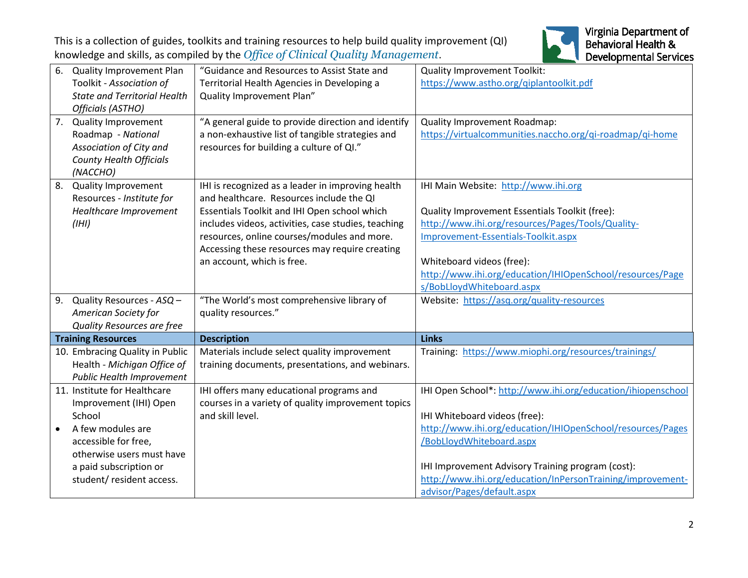This is a collection of guides, toolkits and training resources to help build quality improvement (QI) knowledge and skills, as compiled by the *Office of Clinical Quality Management*.



| 6.                        | Quality Improvement Plan<br>Toolkit - Association of<br><b>State and Territorial Health</b><br>Officials (ASTHO)                                                                                 | "Guidance and Resources to Assist State and<br>Territorial Health Agencies in Developing a<br>Quality Improvement Plan"                                                                                                                                                                                                             | <b>Quality Improvement Toolkit:</b><br>https://www.astho.org/qiplantoolkit.pdf                                                                                                                                                                                                                             |
|---------------------------|--------------------------------------------------------------------------------------------------------------------------------------------------------------------------------------------------|-------------------------------------------------------------------------------------------------------------------------------------------------------------------------------------------------------------------------------------------------------------------------------------------------------------------------------------|------------------------------------------------------------------------------------------------------------------------------------------------------------------------------------------------------------------------------------------------------------------------------------------------------------|
|                           | 7. Quality Improvement<br>Roadmap - National<br>Association of City and<br><b>County Health Officials</b><br>(NACCHO)                                                                            | "A general guide to provide direction and identify<br>a non-exhaustive list of tangible strategies and<br>resources for building a culture of QI."                                                                                                                                                                                  | Quality Improvement Roadmap:<br>https://virtualcommunities.naccho.org/qi-roadmap/qi-home                                                                                                                                                                                                                   |
| 8.                        | Quality Improvement<br>Resources - Institute for<br>Healthcare Improvement<br>(HH)                                                                                                               | IHI is recognized as a leader in improving health<br>and healthcare. Resources include the QI<br>Essentials Toolkit and IHI Open school which<br>includes videos, activities, case studies, teaching<br>resources, online courses/modules and more.<br>Accessing these resources may require creating<br>an account, which is free. | IHI Main Website: http://www.ihi.org<br>Quality Improvement Essentials Toolkit (free):<br>http://www.ihi.org/resources/Pages/Tools/Quality-<br>Improvement-Essentials-Toolkit.aspx<br>Whiteboard videos (free):<br>http://www.ihi.org/education/IHIOpenSchool/resources/Page<br>s/BobLloydWhiteboard.aspx  |
|                           | 9. Quality Resources - ASQ -<br>American Society for<br>Quality Resources are free                                                                                                               | "The World's most comprehensive library of<br>quality resources."                                                                                                                                                                                                                                                                   | Website: https://asq.org/quality-resources                                                                                                                                                                                                                                                                 |
| <b>Training Resources</b> |                                                                                                                                                                                                  | <b>Description</b>                                                                                                                                                                                                                                                                                                                  | <b>Links</b>                                                                                                                                                                                                                                                                                               |
|                           | 10. Embracing Quality in Public<br>Health - Michigan Office of<br><b>Public Health Improvement</b>                                                                                               | Materials include select quality improvement<br>training documents, presentations, and webinars.                                                                                                                                                                                                                                    | Training: https://www.miophi.org/resources/trainings/                                                                                                                                                                                                                                                      |
|                           | 11. Institute for Healthcare<br>Improvement (IHI) Open<br>School<br>A few modules are<br>accessible for free,<br>otherwise users must have<br>a paid subscription or<br>student/resident access. | IHI offers many educational programs and<br>courses in a variety of quality improvement topics<br>and skill level.                                                                                                                                                                                                                  | IHI Open School*: http://www.ihi.org/education/ihiopenschool<br>IHI Whiteboard videos (free):<br>http://www.ihi.org/education/IHIOpenSchool/resources/Pages<br>/BobLloydWhiteboard.aspx<br>IHI Improvement Advisory Training program (cost):<br>http://www.ihi.org/education/InPersonTraining/improvement- |